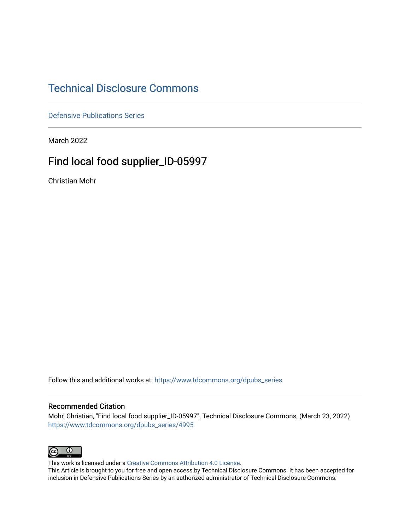## [Technical Disclosure Commons](https://www.tdcommons.org/)

[Defensive Publications Series](https://www.tdcommons.org/dpubs_series)

March 2022

# Find local food supplier\_ID-05997

Christian Mohr

Follow this and additional works at: [https://www.tdcommons.org/dpubs\\_series](https://www.tdcommons.org/dpubs_series?utm_source=www.tdcommons.org%2Fdpubs_series%2F4995&utm_medium=PDF&utm_campaign=PDFCoverPages) 

#### Recommended Citation

Mohr, Christian, "Find local food supplier\_ID-05997", Technical Disclosure Commons, (March 23, 2022) [https://www.tdcommons.org/dpubs\\_series/4995](https://www.tdcommons.org/dpubs_series/4995?utm_source=www.tdcommons.org%2Fdpubs_series%2F4995&utm_medium=PDF&utm_campaign=PDFCoverPages)



This work is licensed under a [Creative Commons Attribution 4.0 License](http://creativecommons.org/licenses/by/4.0/deed.en_US).

This Article is brought to you for free and open access by Technical Disclosure Commons. It has been accepted for inclusion in Defensive Publications Series by an authorized administrator of Technical Disclosure Commons.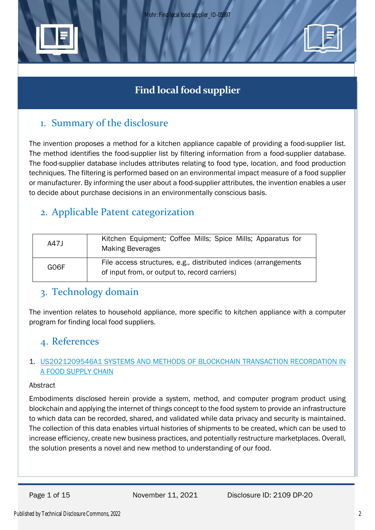



## 1. Summary of the disclosure

The invention proposes a method for a kitchen appliance capable of providing a food-supplier list. The method identifies the food-supplier list by filtering information from a food-supplier database. The food-supplier database includes attributes relating to food type, location, and food production techniques. The filtering is performed based on an environmental impact measure of a food supplier or manufacturer. By informing the user about a food-supplier attributes, the invention enables a user to decide about purchase decisions in an environmentally conscious basis.

# 2. Applicable Patent categorization

| A47J | Kitchen Equipment; Coffee Mills; Spice Mills; Apparatus for<br><b>Making Beverages</b>                           |
|------|------------------------------------------------------------------------------------------------------------------|
| GO6F | File access structures, e.g., distributed indices (arrangements<br>of input from, or output to, record carriers) |

### 3. Technology domain

The invention relates to household appliance, more specific to kitchen appliance with a computer program for finding local food suppliers.

### 4. References

### 1. [US2021209546A1 SYSTEMS AND METHODS OF BLOCKCHAIN TRANSACTION RECORDATION IN](https://worldwide.espacenet.com/patent/search/family/063670837/publication/US2021209546A1?q=US20210209546A1)  [A FOOD SUPPLY CHAIN](https://worldwide.espacenet.com/patent/search/family/063670837/publication/US2021209546A1?q=US20210209546A1)

#### Abstract

Embodiments disclosed herein provide a system, method, and computer program product using blockchain and applying the internet of things concept to the food system to provide an infrastructure to which data can be recorded, shared, and validated while data privacy and security is maintained. The collection of this data enables virtual histories of shipments to be created, which can be used to increase efficiency, create new business practices, and potentially restructure marketplaces. Overall, the solution presents a novel and new method to understanding of our food.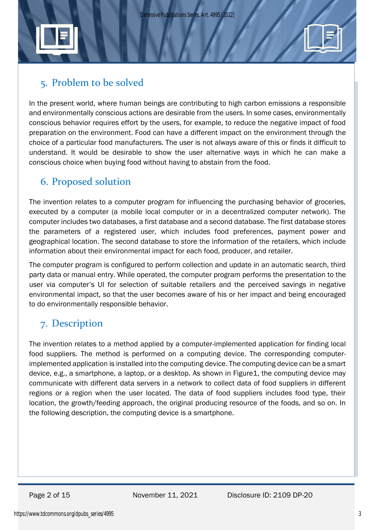



In the present world, where human beings are contributing to high carbon emissions a responsible and environmentally conscious actions are desirable from the users. In some cases, environmentally conscious behavior requires effort by the users, for example, to reduce the negative impact of food preparation on the environment. Food can have a different impact on the environment through the choice of a particular food manufacturers. The user is not always aware of this or finds it difficult to understand. It would be desirable to show the user alternative ways in which he can make a conscious choice when buying food without having to abstain from the food.

## 6. Proposed solution

The invention relates to a computer program for influencing the purchasing behavior of groceries, executed by a computer (a mobile local computer or in a decentralized computer network). The computer includes two databases, a first database and a second database. The first database stores the parameters of a registered user, which includes food preferences, payment power and geographical location. The second database to store the information of the retailers, which include information about their environmental impact for each food, producer, and retailer.

The computer program is configured to perform collection and update in an automatic search, third party data or manual entry. While operated, the computer program performs the presentation to the user via computer's UI for selection of suitable retailers and the perceived savings in negative environmental impact, so that the user becomes aware of his or her impact and being encouraged to do environmentally responsible behavior.

# 7. Description

The invention relates to a method applied by a computer-implemented application for finding local food suppliers. The method is performed on a computing device. The corresponding computerimplemented application is installed into the computing device. The computing device can be a smart device, e.g., a smartphone, a laptop, or a desktop. As shown in Figure1, the computing device may communicate with different data servers in a network to collect data of food suppliers in different regions or a region when the user located. The data of food suppliers includes food type, their location, the growth/feeding approach, the original producing resource of the foods, and so on. In the following description, the computing device is a smartphone.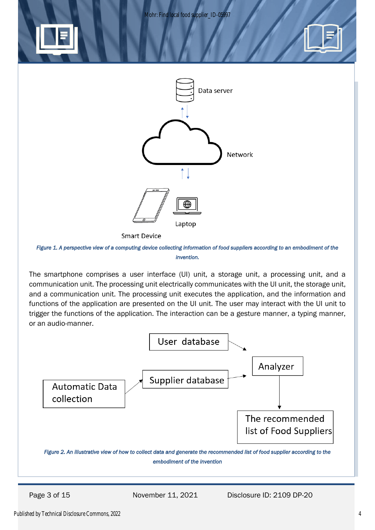Mohr: Find local food supplier ID-05997







*Figure 1. A perspective view of a computing device collecting information of food suppliers according to an embodiment of the invention.* 

The smartphone comprises a user interface (UI) unit, a storage unit, a processing unit, and a communication unit. The processing unit electrically communicates with the UI unit, the storage unit, and a communication unit. The processing unit executes the application, and the information and functions of the application are presented on the UI unit. The user may interact with the UI unit to trigger the functions of the application. The interaction can be a gesture manner, a typing manner, or an audio-manner.

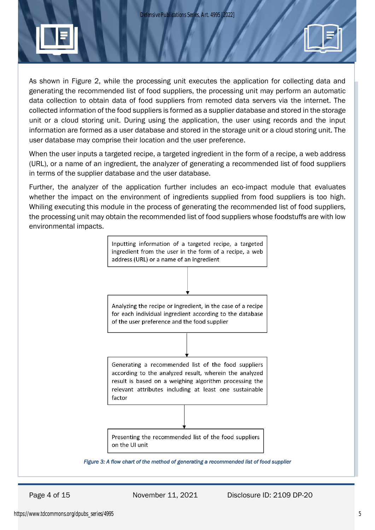*Defensive Publications Series, Art. 4995 [2022]*



As shown in Figure 2, while the processing unit executes the application for collecting data and generating the recommended list of food suppliers, the processing unit may perform an automatic data collection to obtain data of food suppliers from remoted data servers via the internet. The collected information of the food suppliers is formed as a supplier database and stored in the storage unit or a cloud storing unit. During using the application, the user using records and the input information are formed as a user database and stored in the storage unit or a cloud storing unit. The user database may comprise their location and the user preference.

When the user inputs a targeted recipe, a targeted ingredient in the form of a recipe, a web address (URL), or a name of an ingredient, the analyzer of generating a recommended list of food suppliers in terms of the supplier database and the user database.

Further, the analyzer of the application further includes an eco-impact module that evaluates whether the impact on the environment of ingredients supplied from food suppliers is too high. Whiling executing this module in the process of generating the recommended list of food suppliers, the processing unit may obtain the recommended list of food suppliers whose foodstuffs are with low environmental impacts.

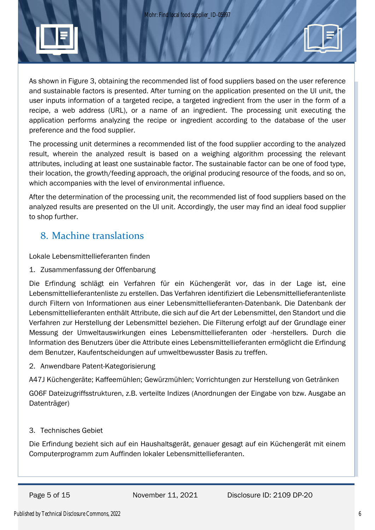

As shown in Figure 3, obtaining the recommended list of food suppliers based on the user reference and sustainable factors is presented. After turning on the application presented on the UI unit, the user inputs information of a targeted recipe, a targeted ingredient from the user in the form of a recipe, a web address (URL), or a name of an ingredient. The processing unit executing the application performs analyzing the recipe or ingredient according to the database of the user preference and the food supplier.

The processing unit determines a recommended list of the food supplier according to the analyzed result, wherein the analyzed result is based on a weighing algorithm processing the relevant attributes, including at least one sustainable factor. The sustainable factor can be one of food type, their location, the growth/feeding approach, the original producing resource of the foods, and so on, which accompanies with the level of environmental influence.

After the determination of the processing unit, the recommended list of food suppliers based on the analyzed results are presented on the UI unit. Accordingly, the user may find an ideal food supplier to shop further.

# 8. Machine translations

Lokale Lebensmittellieferanten finden

1. Zusammenfassung der Offenbarung

Die Erfindung schlägt ein Verfahren für ein Küchengerät vor, das in der Lage ist, eine Lebensmittellieferantenliste zu erstellen. Das Verfahren identifiziert die Lebensmittellieferantenliste durch Filtern von Informationen aus einer Lebensmittellieferanten-Datenbank. Die Datenbank der Lebensmittellieferanten enthält Attribute, die sich auf die Art der Lebensmittel, den Standort und die Verfahren zur Herstellung der Lebensmittel beziehen. Die Filterung erfolgt auf der Grundlage einer Messung der Umweltauswirkungen eines Lebensmittellieferanten oder -herstellers. Durch die Information des Benutzers über die Attribute eines Lebensmittellieferanten ermöglicht die Erfindung dem Benutzer, Kaufentscheidungen auf umweltbewusster Basis zu treffen.

2. Anwendbare Patent-Kategorisierung

A47J Küchengeräte; Kaffeemühlen; Gewürzmühlen; Vorrichtungen zur Herstellung von Getränken

G06F Dateizugriffsstrukturen, z.B. verteilte Indizes (Anordnungen der Eingabe von bzw. Ausgabe an Datenträger)

### 3. Technisches Gebiet

Die Erfindung bezieht sich auf ein Haushaltsgerät, genauer gesagt auf ein Küchengerät mit einem Computerprogramm zum Auffinden lokaler Lebensmittellieferanten.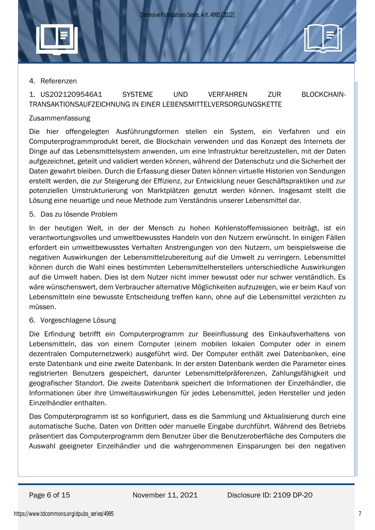

### 1. US2021209546A1 SYSTEME UND VERFAHREN ZUR BLOCKCHAIN-TRANSAKTIONSAUFZEICHNUNG IN EINER LEBENSMITTELVERSORGUNGSKETTE

### Zusammenfassung

Die hier offengelegten Ausführungsformen stellen ein System, ein Verfahren und ein Computerprogrammprodukt bereit, die Blockchain verwenden und das Konzept des Internets der Dinge auf das Lebensmittelsystem anwenden, um eine Infrastruktur bereitzustellen, mit der Daten aufgezeichnet, geteilt und validiert werden können, während der Datenschutz und die Sicherheit der Daten gewahrt bleiben. Durch die Erfassung dieser Daten können virtuelle Historien von Sendungen erstellt werden, die zur Steigerung der Effizienz, zur Entwicklung neuer Geschäftspraktiken und zur potenziellen Umstrukturierung von Marktplätzen genutzt werden können. Insgesamt stellt die Lösung eine neuartige und neue Methode zum Verständnis unserer Lebensmittel dar.

#### 5. Das zu lösende Problem

In der heutigen Welt, in der der Mensch zu hohen Kohlenstoffemissionen beiträgt, ist ein verantwortungsvolles und umweltbewusstes Handeln von den Nutzern erwünscht. In einigen Fällen erfordert ein umweltbewusstes Verhalten Anstrengungen von den Nutzern, um beispielsweise die negativen Auswirkungen der Lebensmittelzubereitung auf die Umwelt zu verringern. Lebensmittel können durch die Wahl eines bestimmten Lebensmittelherstellers unterschiedliche Auswirkungen auf die Umwelt haben. Dies ist dem Nutzer nicht immer bewusst oder nur schwer verständlich. Es wäre wünschenswert, dem Verbraucher alternative Möglichkeiten aufzuzeigen, wie er beim Kauf von Lebensmitteln eine bewusste Entscheidung treffen kann, ohne auf die Lebensmittel verzichten zu müssen.

6. Vorgeschlagene Lösung

Die Erfindung betrifft ein Computerprogramm zur Beeinflussung des Einkaufsverhaltens von Lebensmitteln, das von einem Computer (einem mobilen lokalen Computer oder in einem dezentralen Computernetzwerk) ausgeführt wird. Der Computer enthält zwei Datenbanken, eine erste Datenbank und eine zweite Datenbank. In der ersten Datenbank werden die Parameter eines registrierten Benutzers gespeichert, darunter Lebensmittelpräferenzen, Zahlungsfähigkeit und geografischer Standort. Die zweite Datenbank speichert die Informationen der Einzelhändler, die Informationen über ihre Umweltauswirkungen für jedes Lebensmittel, jeden Hersteller und jeden Einzelhändler enthalten.

Das Computerprogramm ist so konfiguriert, dass es die Sammlung und Aktualisierung durch eine automatische Suche, Daten von Dritten oder manuelle Eingabe durchführt. Während des Betriebs präsentiert das Computerprogramm dem Benutzer über die Benutzeroberfläche des Computers die Auswahl geeigneter Einzelhändler und die wahrgenommenen Einsparungen bei den negativen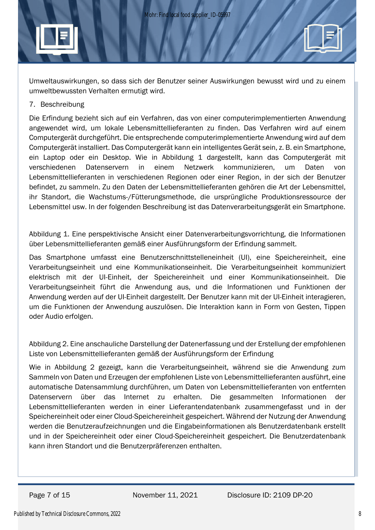Umweltauswirkungen, so dass sich der Benutzer seiner Auswirkungen bewusst wird und zu einem umweltbewussten Verhalten ermutigt wird.

#### 7. Beschreibung

Die Erfindung bezieht sich auf ein Verfahren, das von einer computerimplementierten Anwendung angewendet wird, um lokale Lebensmittellieferanten zu finden. Das Verfahren wird auf einem Computergerät durchgeführt. Die entsprechende computerimplementierte Anwendung wird auf dem Computergerät installiert. Das Computergerät kann ein intelligentes Gerät sein, z. B. ein Smartphone, ein Laptop oder ein Desktop. Wie in Abbildung 1 dargestellt, kann das Computergerät mit verschiedenen Datenservern in einem Netzwerk kommunizieren, um Daten von Lebensmittellieferanten in verschiedenen Regionen oder einer Region, in der sich der Benutzer befindet, zu sammeln. Zu den Daten der Lebensmittellieferanten gehören die Art der Lebensmittel, ihr Standort, die Wachstums-/Fütterungsmethode, die ursprüngliche Produktionsressource der Lebensmittel usw. In der folgenden Beschreibung ist das Datenverarbeitungsgerät ein Smartphone.

Abbildung 1. Eine perspektivische Ansicht einer Datenverarbeitungsvorrichtung, die Informationen über Lebensmittellieferanten gemäß einer Ausführungsform der Erfindung sammelt.

Das Smartphone umfasst eine Benutzerschnittstelleneinheit (UI), eine Speichereinheit, eine Verarbeitungseinheit und eine Kommunikationseinheit. Die Verarbeitungseinheit kommuniziert elektrisch mit der UI-Einheit, der Speichereinheit und einer Kommunikationseinheit. Die Verarbeitungseinheit führt die Anwendung aus, und die Informationen und Funktionen der Anwendung werden auf der UI-Einheit dargestellt. Der Benutzer kann mit der UI-Einheit interagieren, um die Funktionen der Anwendung auszulösen. Die Interaktion kann in Form von Gesten, Tippen oder Audio erfolgen.

Abbildung 2. Eine anschauliche Darstellung der Datenerfassung und der Erstellung der empfohlenen Liste von Lebensmittellieferanten gemäß der Ausführungsform der Erfindung

Wie in Abbildung 2 gezeigt, kann die Verarbeitungseinheit, während sie die Anwendung zum Sammeln von Daten und Erzeugen der empfohlenen Liste von Lebensmittellieferanten ausführt, eine automatische Datensammlung durchführen, um Daten von Lebensmittellieferanten von entfernten Datenservern über das Internet zu erhalten. Die gesammelten Informationen der Lebensmittellieferanten werden in einer Lieferantendatenbank zusammengefasst und in der Speichereinheit oder einer Cloud-Speichereinheit gespeichert. Während der Nutzung der Anwendung werden die Benutzeraufzeichnungen und die Eingabeinformationen als Benutzerdatenbank erstellt und in der Speichereinheit oder einer Cloud-Speichereinheit gespeichert. Die Benutzerdatenbank kann ihren Standort und die Benutzerpräferenzen enthalten.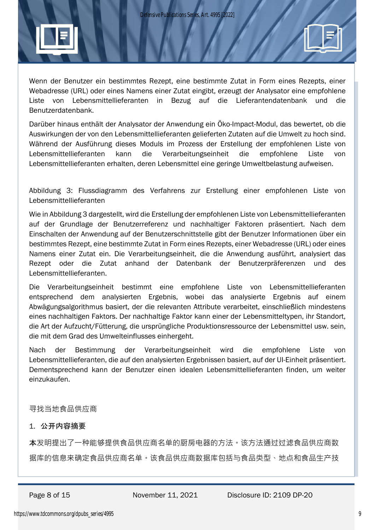

Wenn der Benutzer ein bestimmtes Rezept, eine bestimmte Zutat in Form eines Rezepts, einer Webadresse (URL) oder eines Namens einer Zutat eingibt, erzeugt der Analysator eine empfohlene Liste von Lebensmittellieferanten in Bezug auf die Lieferantendatenbank und die Benutzerdatenbank.

Darüber hinaus enthält der Analysator der Anwendung ein Öko-Impact-Modul, das bewertet, ob die Auswirkungen der von den Lebensmittellieferanten gelieferten Zutaten auf die Umwelt zu hoch sind. Während der Ausführung dieses Moduls im Prozess der Erstellung der empfohlenen Liste von Lebensmittellieferanten kann die Verarbeitungseinheit die empfohlene Liste von Lebensmittellieferanten erhalten, deren Lebensmittel eine geringe Umweltbelastung aufweisen.

Abbildung 3: Flussdiagramm des Verfahrens zur Erstellung einer empfohlenen Liste von Lebensmittellieferanten

Wie in Abbildung 3 dargestellt, wird die Erstellung der empfohlenen Liste von Lebensmittellieferanten auf der Grundlage der Benutzerreferenz und nachhaltiger Faktoren präsentiert. Nach dem Einschalten der Anwendung auf der Benutzerschnittstelle gibt der Benutzer Informationen über ein bestimmtes Rezept, eine bestimmte Zutat in Form eines Rezepts, einer Webadresse (URL) oder eines Namens einer Zutat ein. Die Verarbeitungseinheit, die die Anwendung ausführt, analysiert das Rezept oder die Zutat anhand der Datenbank der Benutzerpräferenzen und des Lebensmittellieferanten.

Die Verarbeitungseinheit bestimmt eine empfohlene Liste von Lebensmittellieferanten entsprechend dem analysierten Ergebnis, wobei das analysierte Ergebnis auf einem Abwägungsalgorithmus basiert, der die relevanten Attribute verarbeitet, einschließlich mindestens eines nachhaltigen Faktors. Der nachhaltige Faktor kann einer der Lebensmitteltypen, ihr Standort, die Art der Aufzucht/Fütterung, die ursprüngliche Produktionsressource der Lebensmittel usw. sein, die mit dem Grad des Umwelteinflusses einhergeht.

Nach der Bestimmung der Verarbeitungseinheit wird die empfohlene Liste von Lebensmittellieferanten, die auf den analysierten Ergebnissen basiert, auf der UI-Einheit präsentiert. Dementsprechend kann der Benutzer einen idealen Lebensmittellieferanten finden, um weiter einzukaufen.

寻找当地食品供应商

#### 1. 公开内容摘要

本发明提出了一种能够提供食品供应商名单的厨房电器的方法。该方法通过过滤食品供应商数 据库的信息来确定食品供应商名单。该食品供应商数据库包括与食品类型、地点和食品生产技

Page 8 of 15 November 11, 2021 Disclosure ID: 2109 DP-20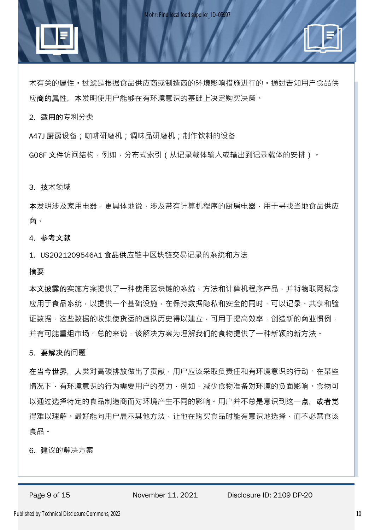术有关的属性。过滤是根据食品供应商或制造商的环境影响措施进行的。通过告知用户食品供 应商的属性,本发明使用户能够在有环境意识的基础上决定购买决策。

2. 适用的专利分类

A47J 厨房设备;咖啡研磨机;调味品研磨机;制作饮料的设备

GO6F 文件访问结构,例如,分布式索引(从记录载体输入或输出到记录载体的安排)。

3. 技术领域

本发明涉及家用电器,更具体地说,涉及带有计算机程序的厨房电器,用于寻找当地食品供应 商。

4. 参考文献

1. US2021209546A1 食品供应链中区块链交易记录的系统和方法

摘要

本文披露的实施方案提供了一种使用区块链的系统、方法和计算机程序产品,并将物联网概念 应用于食品系统,以提供一个基础设施,在保持数据隐私和安全的同时,可以记录、共享和验 证数据。这些数据的收集使货运的虚拟历史得以建立,可用于提高效率,创造新的商业惯例, 并有可能重组市场。总的来说,该解决方案为理解我们的食物提供了一种新颖的新方法。

5. 要解决的问题

在当今世界, 人类对高碳排放做出了贡献,用户应该采取负责任和有环境意识的行动。在某些 情况下,有环境意识的行为需要用户的努力,例如,减少食物准备对环境的负面影响。食物可 以通过选择特定的食品制造商而对环境产生不同的影响。用户并不总是意识到这一**点,或者**觉 得难以理解。最好能向用户展示其他方法,让他在购买食品时能有意识地选择,而不必禁食该 食品。

6. 建议的解决方案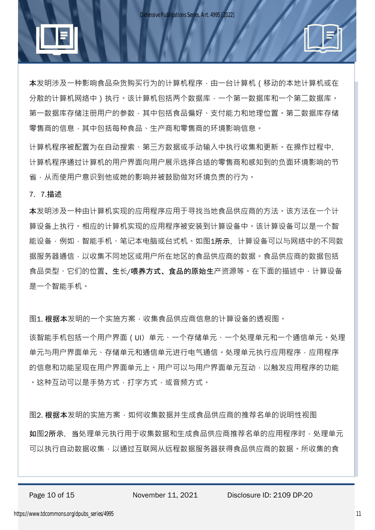

本发明涉及一种影响食品杂货购买行为的计算机程序,由一台计算机(移动的本地计算机或在 分散的计算机网络中)执行。该计算机包括两个数据库,一个第一数据库和一个第二数据库。 第一数据库存储注册用户的参数,其中包括食品偏好、支付能力和地理位置。第二数据库存储 零售商的信息,其中包括每种食品、生产商和零售商的环境影响信息。

计算机程序被配置为在自动搜索、第三方数据或手动输入中执行收集和更新。在操作过程中, 计算机程序通过计算机的用户界面向用户展示选择合适的零售商和感知到的负面环境影响的节 省,从而使用户意识到他或她的影响并被鼓励做对环境负责的行为。

#### 7. 7.描述

本发明涉及一种由计算机实现的应用程序应用于寻找当地食品供应商的方法。该方法在一个计 算设备上执行。相应的计算机实现的应用程序被安装到计算设备中。该计算设备可以是一个智 能设备,例如,智能手机、笔记本电脑或台式机。如图1所示, 计算设备可以与网络中的不同数 据服务器通信,以收集不同地区或用户所在地区的食品供应商的数据,食品供应商的数据包括 食品类型、它们的位置、生长/喂养方式、食品的原始生产资源等。在下面的描述中, 计算设备 是一个智能手机。

图1. 根据本发明的一个实施方案,收集食品供应商信息的计算设备的透视图。

该智能手机包括一个用户界面(UI)单元、一个存储单元、一个处理单元和一个通信单元。处理 单元与用户界面单元、存储单元和通信单元进行电气通信。处理单元执行应用程序,应用程序 的信息和功能呈现在用户界面以与用户界面单元互动,以触发应用程序的功能 。这种互动可以是手势方式,打字方式,或音频方式。

图2. 根据本发明的实施方案,如何收集数据并生成食品供应商的推荐名单的说明性视图

如图2所示,当处理单元执行用于收集数据和生成食品供应商推荐名单的应用程序时,处理单元 可以执行自动数据收集,以通过互联网从远程数据服务器获得食品供应商的数据。所收集的食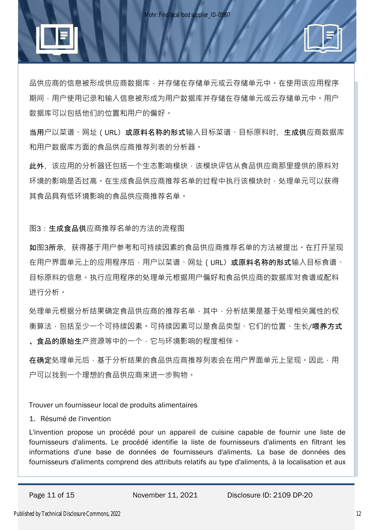

品供应商的信息被形成供应商数据库,并存储在存储单元或云存储单元中。在使用该应用程序 期间,用户使用记录和输入信息被形成为用户数据库并存储在存储单元或云存储单元中。用户 数据库可以包括他们的位置和用户的偏好。

当用户以菜谱、网址 (URL) 或原料名称的形式输入目标菜谱、目标原料时, 生成供应商数据库 和用户数据库方面的食品供应商推荐列表的分析器。

此外,该应用的分析器还包括一个生态影响模块,该模块评估从食品供应商那里提供的原料对 环境的影响是否过高。在生成食品供应商推荐名单的过程中执行该模块时,处理单元可以获得 其食品具有低环境影响的食品供应商推荐名单。

图3:生成食品供应商推荐名单的方法的流程图

如图3所示,获得基于用户参考和可持续因素的食品供应商推荐名单的方法被提出。在打开呈现 在用户界面单元上的应用程序后,用户以菜谱、网址 ( URL) 或原料名称的形式输入目标食谱、 目标原料的信息。执行应用程序的处理单元根据用户偏好和食品供应商的数据库对食谱或配料 进行分析。

处理单元根据分析结果确定食品供应商的推荐名单,其中,分析结果是基于处理相关属性的权 衡算法,包括至少一个可持续因素。可持续因素可以是食品类型、它们的位置、生长/**喂养方式** 、**食品的原始生**产资源等中的一个,它与环境影响的程度相伴。

在确定处理单元后,基于分析结果的食品供应商推荐列表会在用户界面单元上呈现。因此,用 户可以找到一个理想的食品供应商来进一步购物。

Trouver un fournisseur local de produits alimentaires

#### 1. Résumé de l'invention

L'invention propose un procédé pour un appareil de cuisine capable de fournir une liste de fournisseurs d'aliments. Le procédé identifie la liste de fournisseurs d'aliments en filtrant les informations d'une base de données de fournisseurs d'aliments. La base de données des fournisseurs d'aliments comprend des attributs relatifs au type d'aliments, à la localisation et aux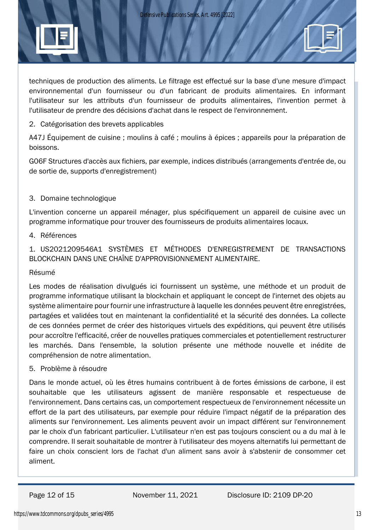

techniques de production des aliments. Le filtrage est effectué sur la base d'une mesure d'impact environnemental d'un fournisseur ou d'un fabricant de produits alimentaires. En informant l'utilisateur sur les attributs d'un fournisseur de produits alimentaires, l'invention permet à l'utilisateur de prendre des décisions d'achat dans le respect de l'environnement.

#### 2. Catégorisation des brevets applicables

A47J Équipement de cuisine ; moulins à café ; moulins à épices ; appareils pour la préparation de boissons.

G06F Structures d'accès aux fichiers, par exemple, indices distribués (arrangements d'entrée de, ou de sortie de, supports d'enregistrement)

### 3. Domaine technologique

L'invention concerne un appareil ménager, plus spécifiquement un appareil de cuisine avec un programme informatique pour trouver des fournisseurs de produits alimentaires locaux.

#### 4. Références

### 1. US2021209546A1 SYSTÈMES ET MÉTHODES D'ENREGISTREMENT DE TRANSACTIONS BLOCKCHAIN DANS UNE CHAÎNE D'APPROVISIONNEMENT ALIMENTAIRE.

#### Résumé

Les modes de réalisation divulgués ici fournissent un système, une méthode et un produit de programme informatique utilisant la blockchain et appliquant le concept de l'internet des objets au système alimentaire pour fournir une infrastructure à laquelle les données peuvent être enregistrées, partagées et validées tout en maintenant la confidentialité et la sécurité des données. La collecte de ces données permet de créer des historiques virtuels des expéditions, qui peuvent être utilisés pour accroître l'efficacité, créer de nouvelles pratiques commerciales et potentiellement restructurer les marchés. Dans l'ensemble, la solution présente une méthode nouvelle et inédite de compréhension de notre alimentation.

#### 5. Problème à résoudre

Dans le monde actuel, où les êtres humains contribuent à de fortes émissions de carbone, il est souhaitable que les utilisateurs agissent de manière responsable et respectueuse de l'environnement. Dans certains cas, un comportement respectueux de l'environnement nécessite un effort de la part des utilisateurs, par exemple pour réduire l'impact négatif de la préparation des aliments sur l'environnement. Les aliments peuvent avoir un impact différent sur l'environnement par le choix d'un fabricant particulier. L'utilisateur n'en est pas toujours conscient ou a du mal à le comprendre. Il serait souhaitable de montrer à l'utilisateur des moyens alternatifs lui permettant de faire un choix conscient lors de l'achat d'un aliment sans avoir à s'abstenir de consommer cet aliment.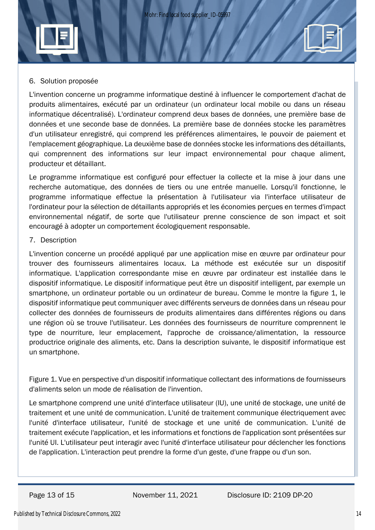### 6. Solution proposée

L'invention concerne un programme informatique destiné à influencer le comportement d'achat de produits alimentaires, exécuté par un ordinateur (un ordinateur local mobile ou dans un réseau informatique décentralisé). L'ordinateur comprend deux bases de données, une première base de données et une seconde base de données. La première base de données stocke les paramètres d'un utilisateur enregistré, qui comprend les préférences alimentaires, le pouvoir de paiement et l'emplacement géographique. La deuxième base de données stocke les informations des détaillants, qui comprennent des informations sur leur impact environnemental pour chaque aliment, producteur et détaillant.

Le programme informatique est configuré pour effectuer la collecte et la mise à jour dans une recherche automatique, des données de tiers ou une entrée manuelle. Lorsqu'il fonctionne, le programme informatique effectue la présentation à l'utilisateur via l'interface utilisateur de l'ordinateur pour la sélection de détaillants appropriés et les économies perçues en termes d'impact environnemental négatif, de sorte que l'utilisateur prenne conscience de son impact et soit encouragé à adopter un comportement écologiquement responsable.

#### 7. Description

L'invention concerne un procédé appliqué par une application mise en œuvre par ordinateur pour trouver des fournisseurs alimentaires locaux. La méthode est exécutée sur un dispositif informatique. L'application correspondante mise en œuvre par ordinateur est installée dans le dispositif informatique. Le dispositif informatique peut être un dispositif intelligent, par exemple un smartphone, un ordinateur portable ou un ordinateur de bureau. Comme le montre la figure 1, le dispositif informatique peut communiquer avec différents serveurs de données dans un réseau pour collecter des données de fournisseurs de produits alimentaires dans différentes régions ou dans une région où se trouve l'utilisateur. Les données des fournisseurs de nourriture comprennent le type de nourriture, leur emplacement, l'approche de croissance/alimentation, la ressource productrice originale des aliments, etc. Dans la description suivante, le dispositif informatique est un smartphone.

Figure 1. Vue en perspective d'un dispositif informatique collectant des informations de fournisseurs d'aliments selon un mode de réalisation de l'invention.

Le smartphone comprend une unité d'interface utilisateur (IU), une unité de stockage, une unité de traitement et une unité de communication. L'unité de traitement communique électriquement avec l'unité d'interface utilisateur, l'unité de stockage et une unité de communication. L'unité de traitement exécute l'application, et les informations et fonctions de l'application sont présentées sur l'unité UI. L'utilisateur peut interagir avec l'unité d'interface utilisateur pour déclencher les fonctions de l'application. L'interaction peut prendre la forme d'un geste, d'une frappe ou d'un son.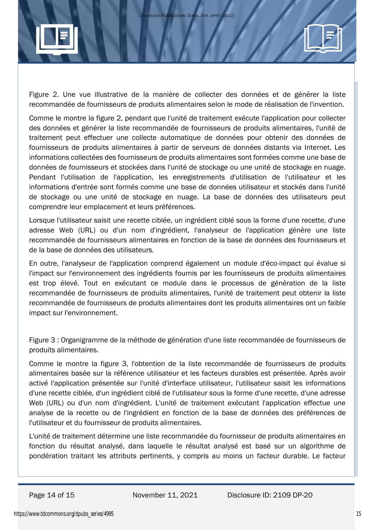

Figure 2. Une vue illustrative de la manière de collecter des données et de générer la liste recommandée de fournisseurs de produits alimentaires selon le mode de réalisation de l'invention.

Comme le montre la figure 2, pendant que l'unité de traitement exécute l'application pour collecter des données et générer la liste recommandée de fournisseurs de produits alimentaires, l'unité de traitement peut effectuer une collecte automatique de données pour obtenir des données de fournisseurs de produits alimentaires à partir de serveurs de données distants via Internet. Les informations collectées des fournisseurs de produits alimentaires sont formées comme une base de données de fournisseurs et stockées dans l'unité de stockage ou une unité de stockage en nuage. Pendant l'utilisation de l'application, les enregistrements d'utilisation de l'utilisateur et les informations d'entrée sont formés comme une base de données utilisateur et stockés dans l'unité de stockage ou une unité de stockage en nuage. La base de données des utilisateurs peut comprendre leur emplacement et leurs préférences.

Lorsque l'utilisateur saisit une recette ciblée, un ingrédient ciblé sous la forme d'une recette, d'une adresse Web (URL) ou d'un nom d'ingrédient, l'analyseur de l'application génère une liste recommandée de fournisseurs alimentaires en fonction de la base de données des fournisseurs et de la base de données des utilisateurs.

En outre, l'analyseur de l'application comprend également un module d'éco-impact qui évalue si l'impact sur l'environnement des ingrédients fournis par les fournisseurs de produits alimentaires est trop élevé. Tout en exécutant ce module dans le processus de génération de la liste recommandée de fournisseurs de produits alimentaires, l'unité de traitement peut obtenir la liste recommandée de fournisseurs de produits alimentaires dont les produits alimentaires ont un faible impact sur l'environnement.

Figure 3 : Organigramme de la méthode de génération d'une liste recommandée de fournisseurs de produits alimentaires.

Comme le montre la figure 3, l'obtention de la liste recommandée de fournisseurs de produits alimentaires basée sur la référence utilisateur et les facteurs durables est présentée. Après avoir activé l'application présentée sur l'unité d'interface utilisateur, l'utilisateur saisit les informations d'une recette ciblée, d'un ingrédient ciblé de l'utilisateur sous la forme d'une recette, d'une adresse Web (URL) ou d'un nom d'ingrédient. L'unité de traitement exécutant l'application effectue une analyse de la recette ou de l'ingrédient en fonction de la base de données des préférences de l'utilisateur et du fournisseur de produits alimentaires.

L'unité de traitement détermine une liste recommandée du fournisseur de produits alimentaires en fonction du résultat analysé, dans laquelle le résultat analysé est basé sur un algorithme de pondération traitant les attributs pertinents, y compris au moins un facteur durable. Le facteur